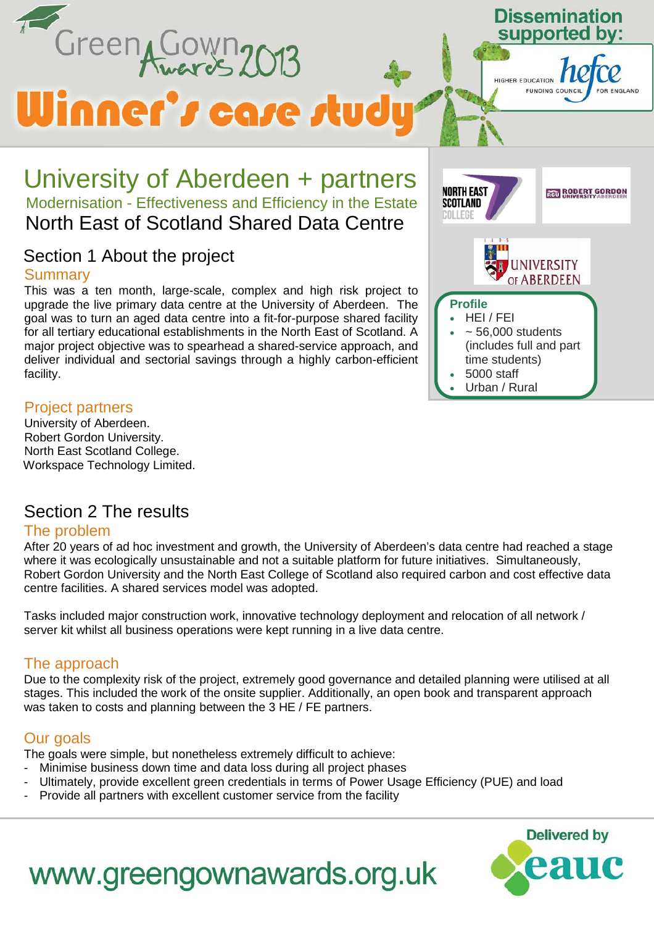

#### Project partners

University of Aberdeen. Robert Gordon University. North East Scotland College. Workspace Technology Limited.

## Section 2 The results

#### The problem

After 20 years of ad hoc investment and growth, the University of Aberdeen's data centre had reached a stage where it was ecologically unsustainable and not a suitable platform for future initiatives. Simultaneously, Robert Gordon University and the North East College of Scotland also required carbon and cost effective data centre facilities. A shared services model was adopted.

Tasks included major construction work, innovative technology deployment and relocation of all network / server kit whilst all business operations were kept running in a live data centre.

#### The approach

Due to the complexity risk of the project, extremely good governance and detailed planning were utilised at all stages. This included the work of the onsite supplier. Additionally, an open book and transparent approach was taken to costs and planning between the 3 HE / FE partners.

## Our goals

The goals were simple, but nonetheless extremely difficult to achieve:

- Minimise business down time and data loss during all project phases
- Ultimately, provide excellent green credentials in terms of Power Usage Efficiency (PUE) and load
- Provide all partners with excellent customer service from the facility



# www.greengownawards.org.uk